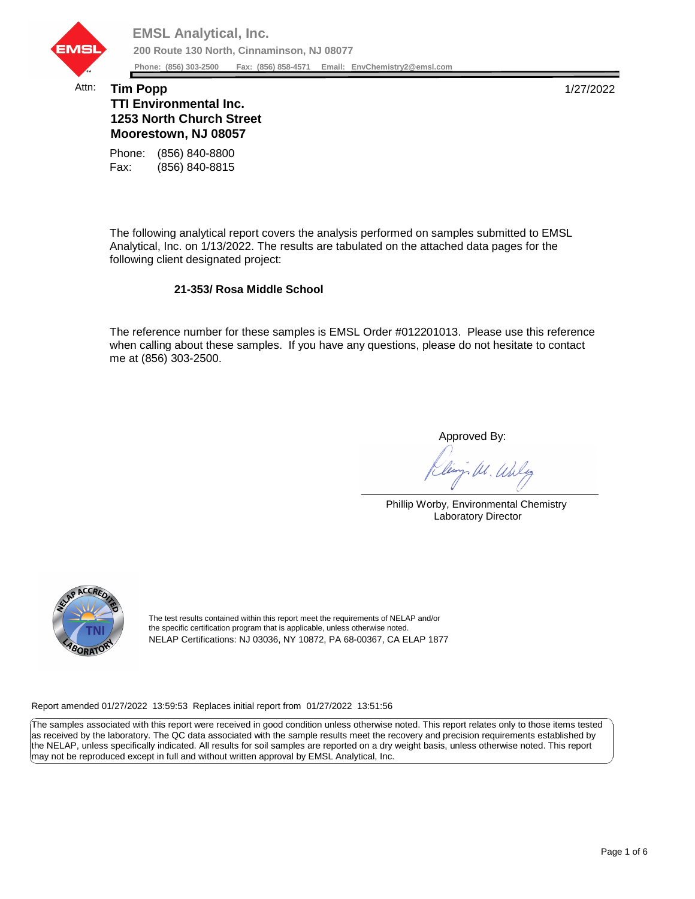

## Attn: **Tim Popp** 1/27/2022 **TTI Environmental Inc. 1253 North Church Street Moorestown, NJ 08057**

Fax: (856) 840-8815 Phone: (856) 840-8800

The following analytical report covers the analysis performed on samples submitted to EMSL Analytical, Inc. on 1/13/2022. The results are tabulated on the attached data pages for the following client designated project:

## **21-353/ Rosa Middle School**

The reference number for these samples is EMSL Order #012201013. Please use this reference when calling about these samples. If you have any questions, please do not hesitate to contact me at (856) 303-2500.

Approved By:

W. Whly

Phillip Worby, Environmental Chemistry Laboratory Director



The test results contained within this report meet the requirements of NELAP and/or the specific certification program that is applicable, unless otherwise noted. NELAP Certifications: NJ 03036, NY 10872, PA 68-00367, CA ELAP 1877

Report amended 01/27/2022 13:59:53 Replaces initial report from 01/27/2022 13:51:56

The samples associated with this report were received in good condition unless otherwise noted. This report relates only to those items tested as received by the laboratory. The QC data associated with the sample results meet the recovery and precision requirements established by the NELAP, unless specifically indicated. All results for soil samples are reported on a dry weight basis, unless otherwise noted. This report may not be reproduced except in full and without written approval by EMSL Analytical, Inc.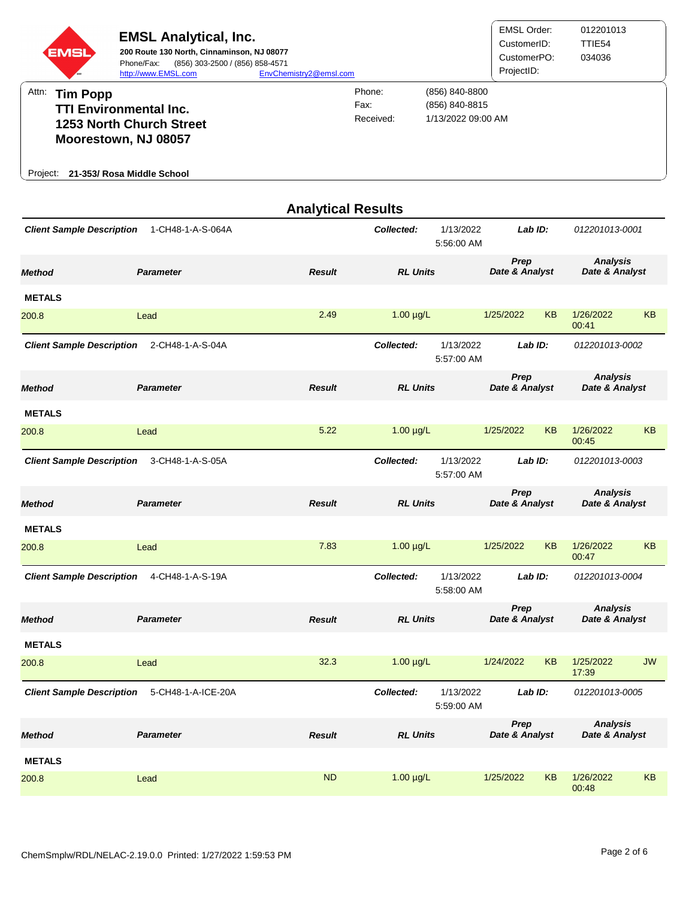

|                                  |                    | <b>Analytical Results</b> |                 |                         |                        |           |                                   |           |
|----------------------------------|--------------------|---------------------------|-----------------|-------------------------|------------------------|-----------|-----------------------------------|-----------|
| <b>Client Sample Description</b> | 1-CH48-1-A-S-064A  |                           | Collected:      | 1/13/2022<br>5:56:00 AM | Lab ID:                |           | 012201013-0001                    |           |
| <b>Method</b>                    | <b>Parameter</b>   | <b>Result</b>             | <b>RL Units</b> |                         | Prep<br>Date & Analyst |           | <b>Analysis</b><br>Date & Analyst |           |
| <b>METALS</b>                    |                    |                           |                 |                         |                        |           |                                   |           |
| 200.8                            | Lead               | 2.49                      | $1.00 \mu g/L$  |                         | 1/25/2022              | <b>KB</b> | 1/26/2022<br>00:41                | KB        |
| <b>Client Sample Description</b> | 2-CH48-1-A-S-04A   |                           | Collected:      | 1/13/2022<br>5:57:00 AM | Lab ID:                |           | 012201013-0002                    |           |
| <b>Method</b>                    | <b>Parameter</b>   | <b>Result</b>             | <b>RL Units</b> |                         | Prep<br>Date & Analyst |           | <b>Analysis</b><br>Date & Analyst |           |
| <b>METALS</b>                    |                    |                           |                 |                         |                        |           |                                   |           |
| 200.8                            | Lead               | 5.22                      | $1.00 \mu g/L$  |                         | 1/25/2022              | <b>KB</b> | 1/26/2022<br>00:45                | <b>KB</b> |
| <b>Client Sample Description</b> | 3-CH48-1-A-S-05A   |                           | Collected:      | 1/13/2022<br>5:57:00 AM | Lab ID:                |           | 012201013-0003                    |           |
| <b>Method</b>                    | <b>Parameter</b>   | <b>Result</b>             | <b>RL Units</b> |                         | Prep<br>Date & Analyst |           | <b>Analysis</b><br>Date & Analyst |           |
| <b>METALS</b>                    |                    |                           |                 |                         |                        |           |                                   |           |
| 200.8                            | Lead               | 7.83                      | $1.00 \mu g/L$  |                         | 1/25/2022              | <b>KB</b> | 1/26/2022<br>00:47                | <b>KB</b> |
| <b>Client Sample Description</b> | 4-CH48-1-A-S-19A   |                           | Collected:      | 1/13/2022<br>5:58:00 AM | Lab ID:                |           | 012201013-0004                    |           |
| <b>Method</b>                    | <b>Parameter</b>   | <b>Result</b>             | <b>RL Units</b> |                         | Prep<br>Date & Analyst |           | <b>Analysis</b><br>Date & Analyst |           |
| <b>METALS</b>                    |                    |                           |                 |                         |                        |           |                                   |           |
| 200.8                            | Lead               | 32.3                      | $1.00 \mu g/L$  |                         | 1/24/2022              | <b>KB</b> | 1/25/2022<br>17:39                | <b>JW</b> |
| <b>Client Sample Description</b> | 5-CH48-1-A-ICE-20A |                           | Collected:      | 1/13/2022<br>5:59:00 AM | Lab ID:                |           | 012201013-0005                    |           |
| <b>Method</b>                    | <b>Parameter</b>   | <b>Result</b>             | <b>RL Units</b> |                         | Prep<br>Date & Analyst |           | <b>Analysis</b><br>Date & Analyst |           |
| <b>METALS</b>                    |                    |                           |                 |                         |                        |           |                                   |           |
| 200.8                            | Lead               | <b>ND</b>                 | $1.00 \mu g/L$  |                         | 1/25/2022              | KB        | 1/26/2022<br>00:48                | <b>KB</b> |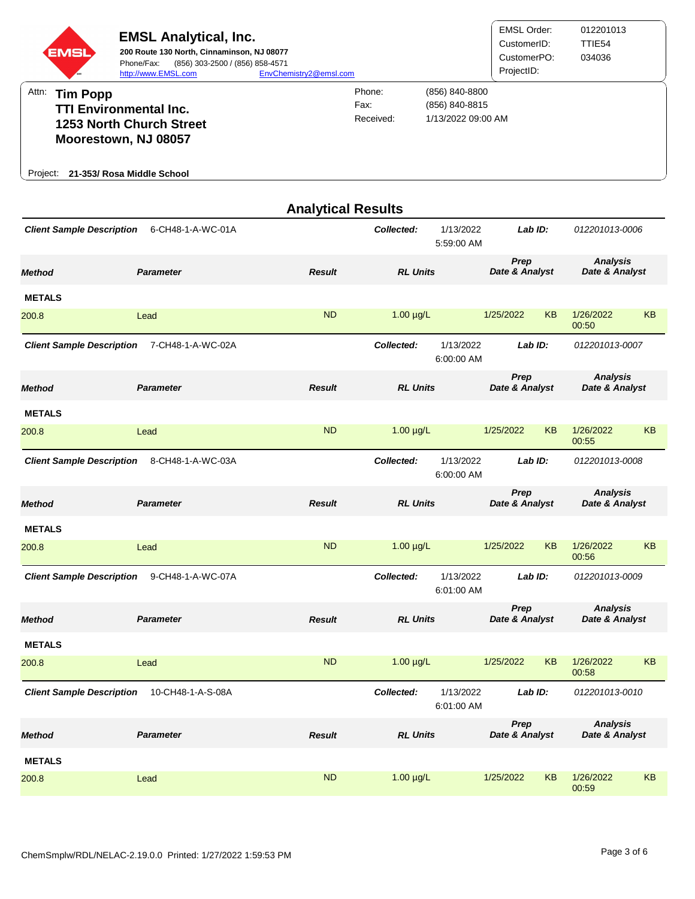

|                                   |                   | <b>Analytical Results</b> |                 |                         |                        |           |                                   |           |
|-----------------------------------|-------------------|---------------------------|-----------------|-------------------------|------------------------|-----------|-----------------------------------|-----------|
| <b>Client Sample Description</b>  | 6-CH48-1-A-WC-01A |                           | Collected:      | 1/13/2022<br>5:59:00 AM | Lab ID:                |           | 012201013-0006                    |           |
| <b>Parameter</b><br><b>Method</b> |                   | <b>Result</b>             | <b>RL Units</b> |                         | Prep<br>Date & Analyst |           | <b>Analysis</b><br>Date & Analyst |           |
| <b>METALS</b>                     |                   |                           |                 |                         |                        |           |                                   |           |
| 200.8                             | Lead              | <b>ND</b>                 | $1.00 \mu g/L$  |                         | 1/25/2022              | <b>KB</b> | 1/26/2022<br>00:50                | <b>KB</b> |
| <b>Client Sample Description</b>  | 7-CH48-1-A-WC-02A |                           | Collected:      | 1/13/2022<br>6:00:00 AM | Lab ID:                |           | 012201013-0007                    |           |
| <b>Method</b>                     | <b>Parameter</b>  | <b>Result</b>             | <b>RL Units</b> |                         | Prep<br>Date & Analyst |           | <b>Analysis</b><br>Date & Analyst |           |
| <b>METALS</b>                     |                   |                           |                 |                         |                        |           |                                   |           |
| 200.8                             | Lead              | <b>ND</b>                 | $1.00 \mu g/L$  |                         | 1/25/2022              | <b>KB</b> | 1/26/2022<br>00:55                | KB        |
| <b>Client Sample Description</b>  | 8-CH48-1-A-WC-03A |                           | Collected:      | 1/13/2022<br>6:00:00 AM | Lab ID:                |           | 012201013-0008                    |           |
| <b>Method</b>                     | <b>Parameter</b>  | <b>Result</b>             | <b>RL Units</b> |                         | Prep<br>Date & Analyst |           | <b>Analysis</b><br>Date & Analyst |           |
| <b>METALS</b>                     |                   |                           |                 |                         |                        |           |                                   |           |
| 200.8                             | Lead              | <b>ND</b>                 | $1.00 \mu g/L$  |                         | 1/25/2022              | <b>KB</b> | 1/26/2022<br>00:56                | <b>KB</b> |
| <b>Client Sample Description</b>  | 9-CH48-1-A-WC-07A |                           | Collected:      | 1/13/2022<br>6:01:00 AM | Lab ID:                |           | 012201013-0009                    |           |
| <b>Method</b>                     | <b>Parameter</b>  | <b>Result</b>             | <b>RL Units</b> |                         | Prep<br>Date & Analyst |           | <b>Analysis</b><br>Date & Analyst |           |
| <b>METALS</b>                     |                   |                           |                 |                         |                        |           |                                   |           |
| 200.8                             | Lead              | <b>ND</b>                 | $1.00 \mu g/L$  |                         | 1/25/2022              | <b>KB</b> | 1/26/2022<br>00:58                | <b>KB</b> |
| <b>Client Sample Description</b>  | 10-CH48-1-A-S-08A |                           | Collected:      | 1/13/2022<br>6:01:00 AM | Lab ID:                |           | 012201013-0010                    |           |
| <b>Method</b>                     | <b>Parameter</b>  | <b>Result</b>             | <b>RL Units</b> |                         | Prep<br>Date & Analyst |           | <b>Analysis</b><br>Date & Analyst |           |
| <b>METALS</b>                     |                   |                           |                 |                         |                        |           |                                   |           |
| 200.8                             | Lead              | <b>ND</b>                 | $1.00 \mu g/L$  |                         | 1/25/2022              | <b>KB</b> | 1/26/2022<br>00:59                | KB        |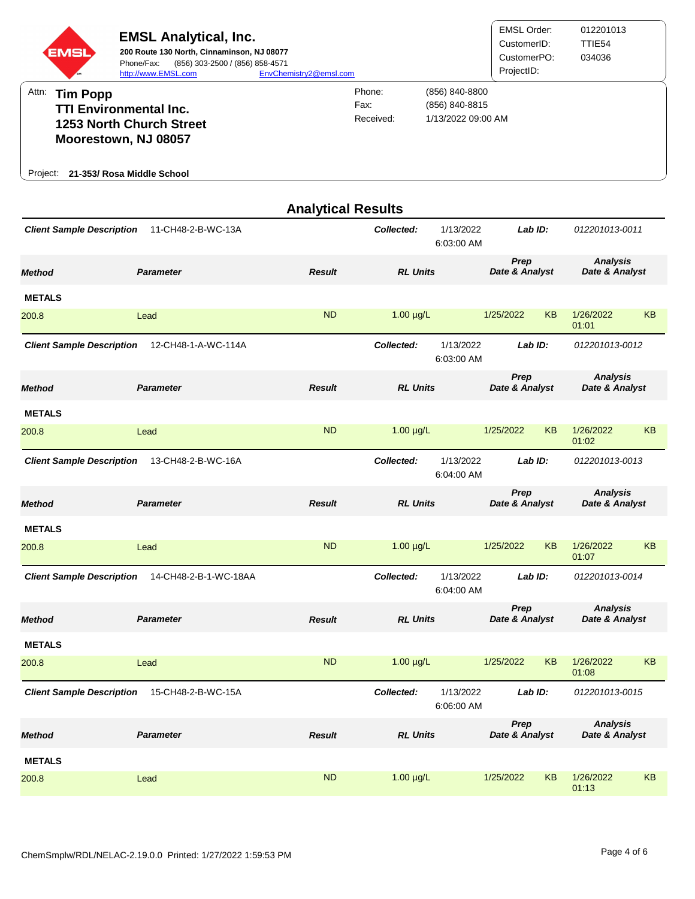

|                                   |                       | <b>Analytical Results</b> |                 |                         |                        |           |                                   |           |
|-----------------------------------|-----------------------|---------------------------|-----------------|-------------------------|------------------------|-----------|-----------------------------------|-----------|
| <b>Client Sample Description</b>  | 11-CH48-2-B-WC-13A    |                           | Collected:      | 1/13/2022<br>6:03:00 AM | Lab ID:                |           | 012201013-0011                    |           |
| <b>Parameter</b><br><b>Method</b> |                       | <b>Result</b>             | <b>RL Units</b> |                         | Prep<br>Date & Analyst |           | <b>Analysis</b><br>Date & Analyst |           |
| <b>METALS</b>                     |                       |                           |                 |                         |                        |           |                                   |           |
| 200.8                             | Lead                  | <b>ND</b>                 | $1.00 \mu g/L$  |                         | 1/25/2022              | <b>KB</b> | 1/26/2022<br>01:01                | <b>KB</b> |
| <b>Client Sample Description</b>  | 12-CH48-1-A-WC-114A   |                           | Collected:      | 1/13/2022<br>6:03:00 AM | Lab ID:                |           | 012201013-0012                    |           |
| <b>Method</b>                     | <b>Parameter</b>      | <b>Result</b>             | <b>RL Units</b> |                         | Prep<br>Date & Analyst |           | <b>Analysis</b><br>Date & Analyst |           |
| <b>METALS</b>                     |                       |                           |                 |                         |                        |           |                                   |           |
| 200.8                             | Lead                  | <b>ND</b>                 | $1.00 \mu g/L$  |                         | 1/25/2022              | <b>KB</b> | 1/26/2022<br>01:02                | <b>KB</b> |
| <b>Client Sample Description</b>  | 13-CH48-2-B-WC-16A    |                           | Collected:      | 1/13/2022<br>6:04:00 AM | Lab ID:                |           | 012201013-0013                    |           |
| <b>Method</b>                     | <b>Parameter</b>      | <b>Result</b>             | <b>RL Units</b> |                         | Prep<br>Date & Analyst |           | <b>Analysis</b><br>Date & Analyst |           |
| <b>METALS</b>                     |                       |                           |                 |                         |                        |           |                                   |           |
| 200.8                             | Lead                  | <b>ND</b>                 | $1.00 \mu g/L$  |                         | 1/25/2022              | <b>KB</b> | 1/26/2022<br>01:07                | <b>KB</b> |
| <b>Client Sample Description</b>  | 14-CH48-2-B-1-WC-18AA |                           | Collected:      | 1/13/2022<br>6:04:00 AM | Lab ID:                |           | 012201013-0014                    |           |
| <b>Method</b>                     | <b>Parameter</b>      | <b>Result</b>             | <b>RL Units</b> |                         | Prep<br>Date & Analyst |           | <b>Analysis</b><br>Date & Analyst |           |
| <b>METALS</b>                     |                       |                           |                 |                         |                        |           |                                   |           |
| 200.8                             | Lead                  | <b>ND</b>                 | $1.00 \mu g/L$  |                         | 1/25/2022              | <b>KB</b> | 1/26/2022<br>01:08                | <b>KB</b> |
| <b>Client Sample Description</b>  | 15-CH48-2-B-WC-15A    |                           | Collected:      | 1/13/2022<br>6:06:00 AM | Lab ID:                |           | 012201013-0015                    |           |
| <b>Method</b>                     | <b>Parameter</b>      | <b>Result</b>             | <b>RL Units</b> |                         | Prep<br>Date & Analyst |           | <b>Analysis</b><br>Date & Analyst |           |
| <b>METALS</b>                     |                       |                           |                 |                         |                        |           |                                   |           |
| 200.8                             | Lead                  | <b>ND</b>                 | $1.00 \mu g/L$  |                         | 1/25/2022              | KB        | 1/26/2022<br>01:13                | KB        |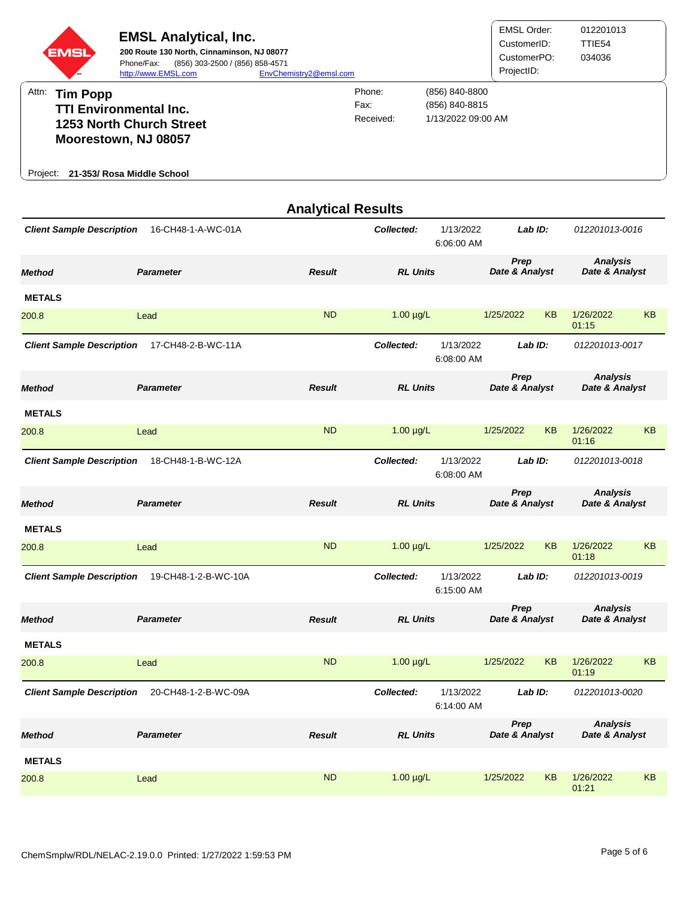

|                                  |                      | <b>Analytical Results</b> |                 |                         |                        |           |                                   |           |
|----------------------------------|----------------------|---------------------------|-----------------|-------------------------|------------------------|-----------|-----------------------------------|-----------|
| <b>Client Sample Description</b> | 16-CH48-1-A-WC-01A   |                           | Collected:      | 1/13/2022<br>6:06:00 AM | Lab ID:                |           | 012201013-0016                    |           |
| <b>Method</b>                    | <b>Parameter</b>     | <b>Result</b>             | <b>RL Units</b> |                         | Prep<br>Date & Analyst |           | <b>Analysis</b><br>Date & Analyst |           |
| <b>METALS</b>                    |                      |                           |                 |                         |                        |           |                                   |           |
| 200.8                            | Lead                 | <b>ND</b>                 | $1.00 \mu g/L$  |                         | 1/25/2022              | <b>KB</b> | 1/26/2022<br>01:15                | <b>KB</b> |
| <b>Client Sample Description</b> | 17-CH48-2-B-WC-11A   |                           | Collected:      | 1/13/2022<br>6:08:00 AM | Lab ID:                |           | 012201013-0017                    |           |
| <b>Method</b>                    | <b>Parameter</b>     | <b>Result</b>             | <b>RL Units</b> |                         | Prep<br>Date & Analyst |           | <b>Analysis</b><br>Date & Analyst |           |
| <b>METALS</b>                    |                      |                           |                 |                         |                        |           |                                   |           |
| 200.8                            | Lead                 | <b>ND</b>                 | $1.00 \mu g/L$  |                         | 1/25/2022              | <b>KB</b> | 1/26/2022<br>01:16                | <b>KB</b> |
| <b>Client Sample Description</b> | 18-CH48-1-B-WC-12A   |                           | Collected:      | 1/13/2022<br>6:08:00 AM | Lab ID:                |           | 012201013-0018                    |           |
| <b>Method</b>                    | <b>Parameter</b>     | <b>Result</b>             | <b>RL Units</b> |                         | Prep<br>Date & Analyst |           | <b>Analysis</b><br>Date & Analyst |           |
| <b>METALS</b>                    |                      |                           |                 |                         |                        |           |                                   |           |
| 200.8                            | Lead                 | <b>ND</b>                 | $1.00 \mu g/L$  |                         | 1/25/2022              | <b>KB</b> | 1/26/2022<br>01:18                | <b>KB</b> |
| <b>Client Sample Description</b> | 19-CH48-1-2-B-WC-10A |                           | Collected:      | 1/13/2022<br>6:15:00 AM | Lab ID:                |           | 012201013-0019                    |           |
| <b>Method</b>                    | <b>Parameter</b>     | <b>Result</b>             | <b>RL Units</b> |                         | Prep<br>Date & Analyst |           | <b>Analysis</b><br>Date & Analyst |           |
| <b>METALS</b>                    |                      |                           |                 |                         |                        |           |                                   |           |
| 200.8                            | Lead                 | <b>ND</b>                 | $1.00 \mu g/L$  |                         | 1/25/2022              | KB        | 1/26/2022<br>01:19                | <b>KB</b> |
| <b>Client Sample Description</b> | 20-CH48-1-2-B-WC-09A |                           | Collected:      | 1/13/2022<br>6:14:00 AM | Lab ID:                |           | 012201013-0020                    |           |
| <b>Method</b>                    | <b>Parameter</b>     | <b>Result</b>             | <b>RL Units</b> |                         | Prep<br>Date & Analyst |           | <b>Analysis</b><br>Date & Analyst |           |
| <b>METALS</b>                    |                      |                           |                 |                         |                        |           |                                   |           |
| 200.8                            | Lead                 | <b>ND</b>                 | $1.00 \mu g/L$  |                         | 1/25/2022              | KB        | 1/26/2022<br>01:21                | KB        |